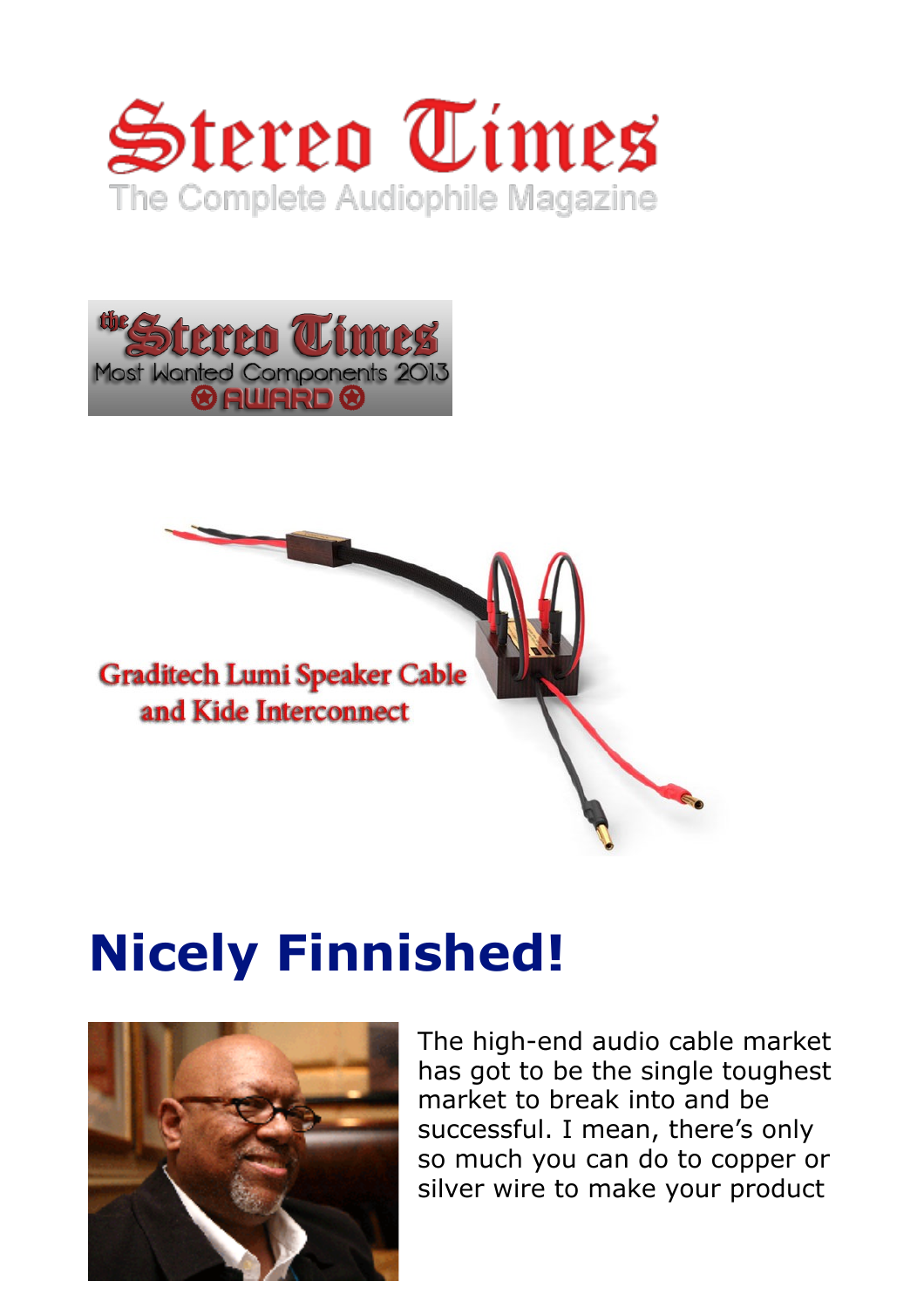





# **Nicely Finnished!**



The high-end audio cable market has got to be the single toughest market to break into and be successful. I mean, there's only so much you can do to copper or silver wire to make your product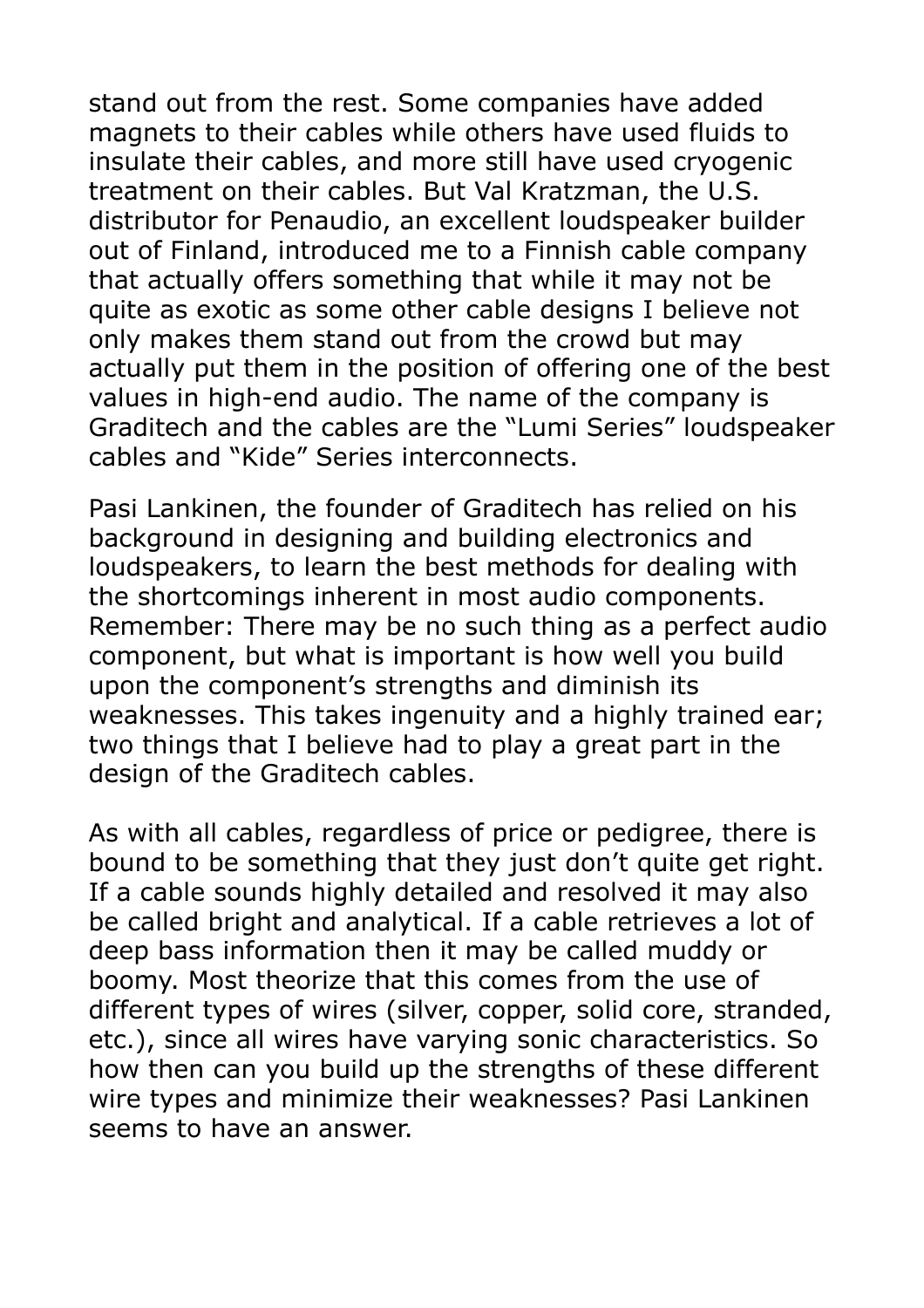stand out from the rest. Some companies have added magnets to their cables while others have used fluids to insulate their cables, and more still have used cryogenic treatment on their cables. But Val Kratzman, the U.S. distributor for Penaudio, an excellent loudspeaker builder out of Finland, introduced me to a Finnish cable company that actually offers something that while it may not be quite as exotic as some other cable designs I believe not only makes them stand out from the crowd but may actually put them in the position of offering one of the best values in high-end audio. The name of the company is Graditech and the cables are the "Lumi Series" loudspeaker cables and "Kide" Series interconnects.

Pasi Lankinen, the founder of Graditech has relied on his background in designing and building electronics and loudspeakers, to learn the best methods for dealing with the shortcomings inherent in most audio components. Remember: There may be no such thing as a perfect audio component, but what is important is how well you build upon the component's strengths and diminish its weaknesses. This takes ingenuity and a highly trained ear; two things that I believe had to play a great part in the design of the Graditech cables.

As with all cables, regardless of price or pedigree, there is bound to be something that they just don't quite get right. If a cable sounds highly detailed and resolved it may also be called bright and analytical. If a cable retrieves a lot of deep bass information then it may be called muddy or boomy. Most theorize that this comes from the use of different types of wires (silver, copper, solid core, stranded, etc.), since all wires have varying sonic characteristics. So how then can you build up the strengths of these different wire types and minimize their weaknesses? Pasi Lankinen seems to have an answer.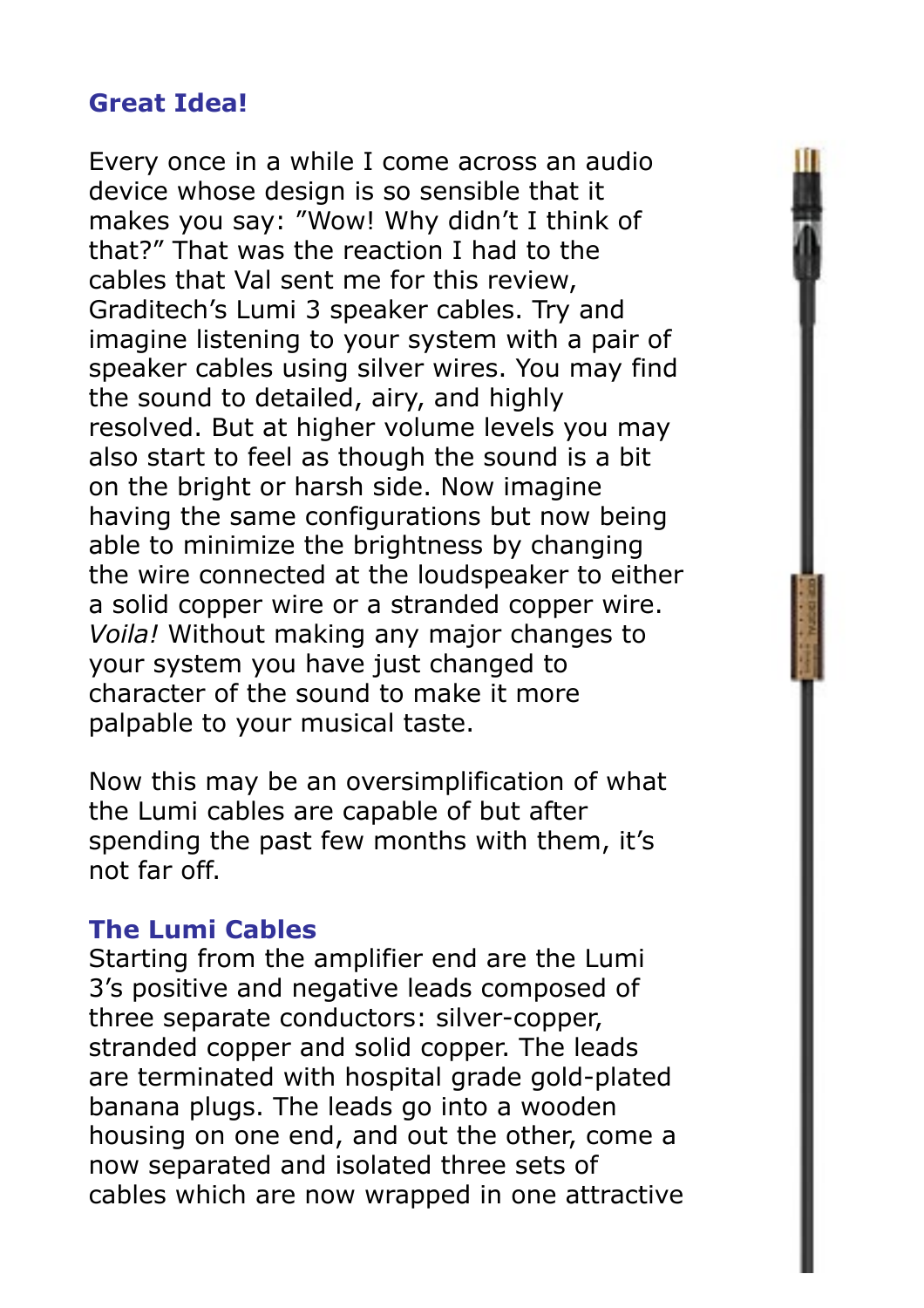## **Great Idea!**

Every once in a while I come across an audio device whose design is so sensible that it makes you say: "Wow! Why didn't I think of that?" That was the reaction I had to the cables that Val sent me for this review, Graditech's Lumi 3 speaker cables. Try and imagine listening to your system with a pair of speaker cables using silver wires. You may find the sound to detailed, airy, and highly resolved. But at higher volume levels you may also start to feel as though the sound is a bit on the bright or harsh side. Now imagine having the same configurations but now being able to minimize the brightness by changing the wire connected at the loudspeaker to either a solid copper wire or a stranded copper wire. *Voila!* Without making any major changes to your system you have just changed to character of the sound to make it more palpable to your musical taste.

Now this may be an oversimplification of what the Lumi cables are capable of but after spending the past few months with them, it's not far off.

### **The Lumi Cables**

Starting from the amplifier end are the Lumi 3's positive and negative leads composed of three separate conductors: silver-copper, stranded copper and solid copper. The leads are terminated with hospital grade gold-plated banana plugs. The leads go into a wooden housing on one end, and out the other, come a now separated and isolated three sets of cables which are now wrapped in one attractive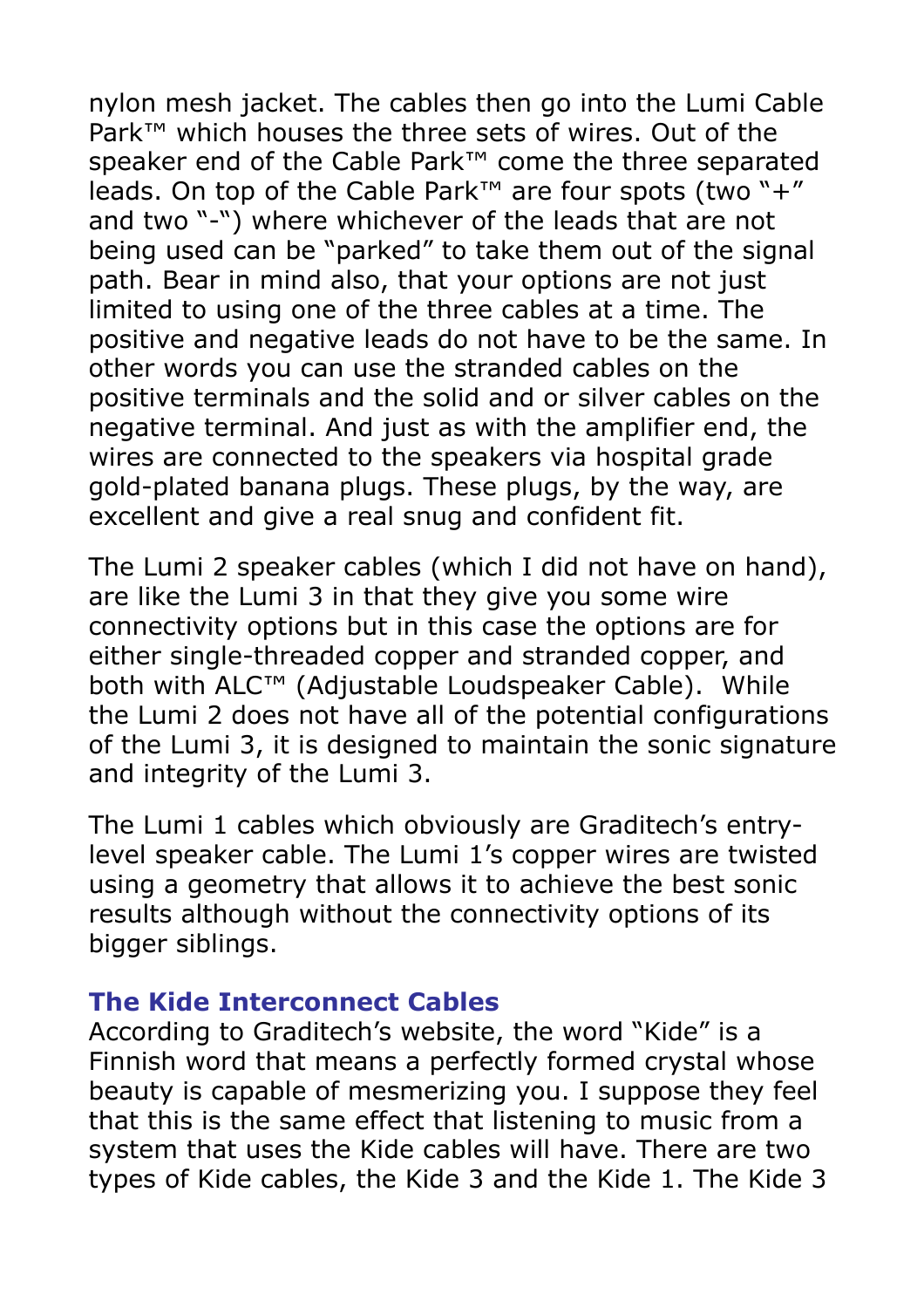nylon mesh jacket. The cables then go into the Lumi Cable Park™ which houses the three sets of wires. Out of the speaker end of the Cable Park™ come the three separated leads. On top of the Cable Park™ are four spots (two "+" and two "-") where whichever of the leads that are not being used can be "parked" to take them out of the signal path. Bear in mind also, that your options are not just limited to using one of the three cables at a time. The positive and negative leads do not have to be the same. In other words you can use the stranded cables on the positive terminals and the solid and or silver cables on the negative terminal. And just as with the amplifier end, the wires are connected to the speakers via hospital grade gold-plated banana plugs. These plugs, by the way, are excellent and give a real snug and confident fit.

The Lumi 2 speaker cables (which I did not have on hand), are like the Lumi 3 in that they give you some wire connectivity options but in this case the options are for either single-threaded copper and stranded copper, and both with ALC™ (Adjustable Loudspeaker Cable). While the Lumi 2 does not have all of the potential configurations of the Lumi 3, it is designed to maintain the sonic signature and integrity of the Lumi 3.

The Lumi 1 cables which obviously are Graditech's entrylevel speaker cable. The Lumi 1's copper wires are twisted using a geometry that allows it to achieve the best sonic results although without the connectivity options of its bigger siblings.

## **The Kide Interconnect Cables**

According to Graditech's website, the word "Kide" is a Finnish word that means a perfectly formed crystal whose beauty is capable of mesmerizing you. I suppose they feel that this is the same effect that listening to music from a system that uses the Kide cables will have. There are two types of Kide cables, the Kide 3 and the Kide 1. The Kide 3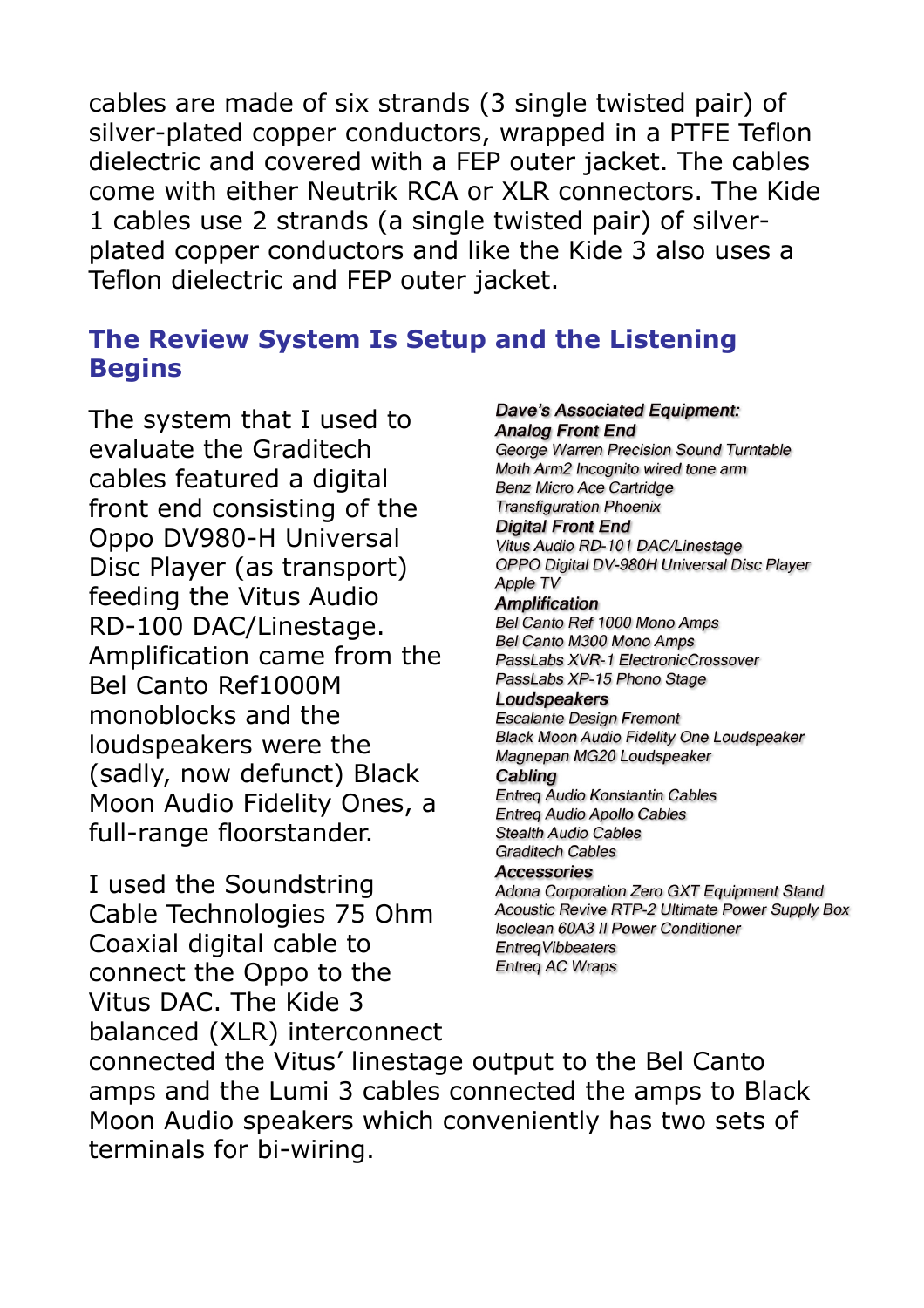cables are made of six strands (3 single twisted pair) of silver-plated copper conductors, wrapped in a PTFE Teflon dielectric and covered with a FEP outer jacket. The cables come with either Neutrik RCA or XLR connectors. The Kide 1 cables use 2 strands (a single twisted pair) of silverplated copper conductors and like the Kide 3 also uses a Teflon dielectric and FEP outer jacket.

## **The Review System Is Setup and the Listening Begins**

The system that I used to evaluate the Graditech cables featured a digital front end consisting of the Oppo DV980-H Universal Disc Player (as transport) feeding the Vitus Audio RD-100 DAC/Linestage. Amplification came from the Bel Canto Ref1000M monoblocks and the loudspeakers were the (sadly, now defunct) Black Moon Audio Fidelity Ones, a full-range floorstander.

I used the Soundstring Cable Technologies 75 Ohm Coaxial digital cable to connect the Oppo to the Vitus DAC. The Kide 3 balanced (XLR) interconnect connected the Vitus' linestage output to the Bel Canto amps and the Lumi 3 cables connected the amps to Black Moon Audio speakers which conveniently has two sets of terminals for bi-wiring.

**Dave's Associated Equipment: Analog Front End** George Warren Precision Sound Turntable Moth Arm2 Incognito wired tone arm **Benz Micro Ace Cartridge Transfiguration Phoenix Digital Front End** Vitus Audio RD-101 DAC/Linestage OPPO Digital DV-980H Universal Disc Player Apple TV **Amplification** Bel Canto Ref 1000 Mono Amps Bel Canto M300 Mono Amps PassLabs XVR-1 ElectronicCrossover PassLabs XP-15 Phono Stage Loudspeakers **Escalante Design Fremont Black Moon Audio Fidelity One Loudspeaker** Magnepan MG20 Loudspeaker Cabling **Entreg Audio Konstantin Cables Entreq Audio Apollo Cables Stealth Audio Cables Graditech Cables Accessories** Adona Corporation Zero GXT Equipment Stand Acoustic Revive RTP-2 Ultimate Power Supply Box Isoclean 60A3 II Power Conditioner **EntreaVibbeaters Entreg AC Wraps**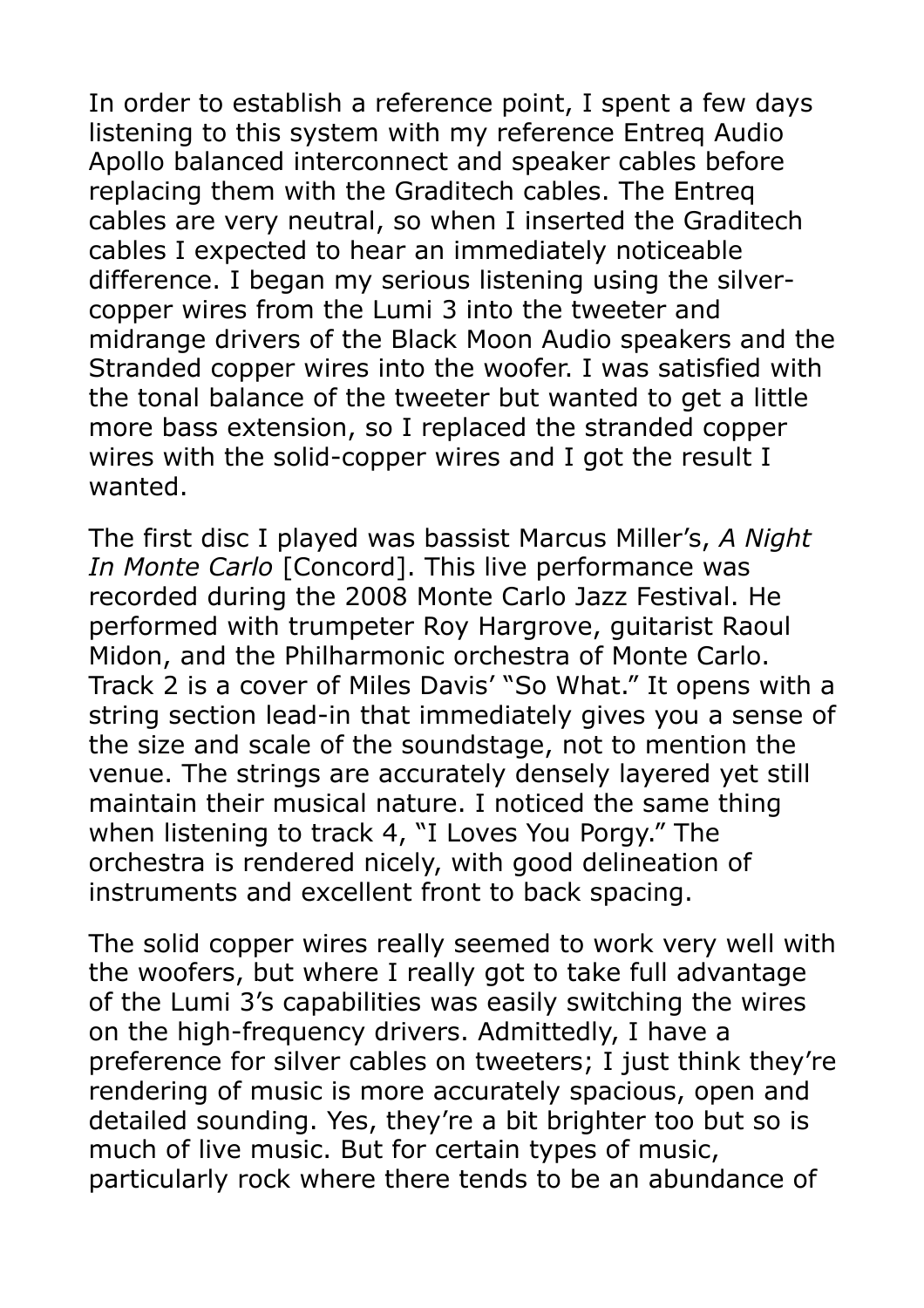In order to establish a reference point, I spent a few days listening to this system with my reference Entreq Audio Apollo balanced interconnect and speaker cables before replacing them with the Graditech cables. The Entreq cables are very neutral, so when I inserted the Graditech cables I expected to hear an immediately noticeable difference. I began my serious listening using the silvercopper wires from the Lumi 3 into the tweeter and midrange drivers of the Black Moon Audio speakers and the Stranded copper wires into the woofer. I was satisfied with the tonal balance of the tweeter but wanted to get a little more bass extension, so I replaced the stranded copper wires with the solid-copper wires and I got the result I wanted.

The first disc I played was bassist Marcus Miller's, *A Night In Monte Carlo* [Concord]. This live performance was recorded during the 2008 Monte Carlo Jazz Festival. He performed with trumpeter Roy Hargrove, guitarist Raoul Midon, and the Philharmonic orchestra of Monte Carlo. Track 2 is a cover of Miles Davis' "So What." It opens with a string section lead-in that immediately gives you a sense of the size and scale of the soundstage, not to mention the venue. The strings are accurately densely layered yet still maintain their musical nature. I noticed the same thing when listening to track 4, "I Loves You Porgy." The orchestra is rendered nicely, with good delineation of instruments and excellent front to back spacing.

The solid copper wires really seemed to work very well with the woofers, but where I really got to take full advantage of the Lumi 3's capabilities was easily switching the wires on the high-frequency drivers. Admittedly, I have a preference for silver cables on tweeters; I just think they're rendering of music is more accurately spacious, open and detailed sounding. Yes, they're a bit brighter too but so is much of live music. But for certain types of music, particularly rock where there tends to be an abundance of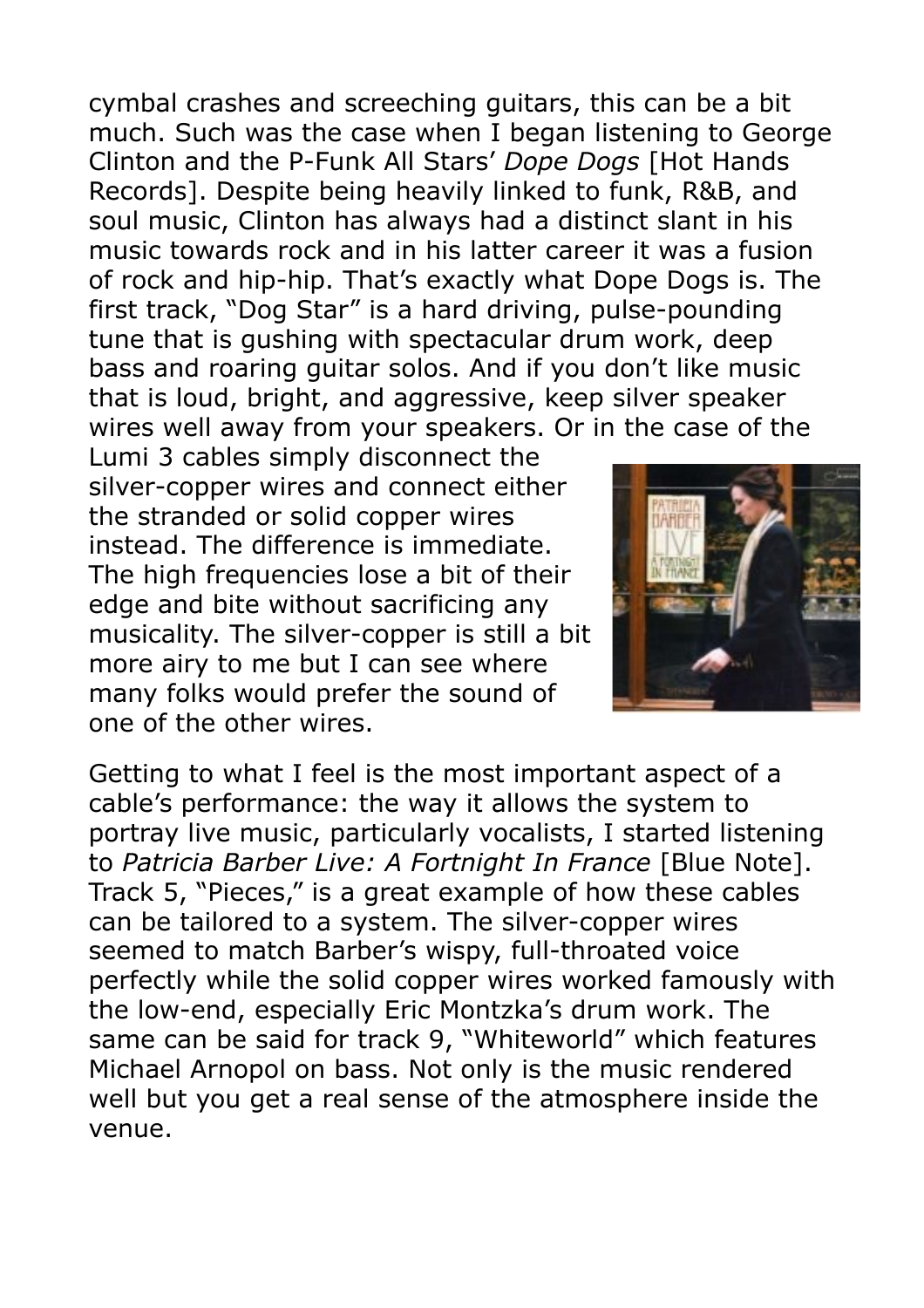cymbal crashes and screeching guitars, this can be a bit much. Such was the case when I began listening to George Clinton and the P-Funk All Stars' *Dope Dogs* [Hot Hands Records]. Despite being heavily linked to funk, R&B, and soul music, Clinton has always had a distinct slant in his music towards rock and in his latter career it was a fusion of rock and hip-hip. That's exactly what Dope Dogs is. The first track, "Dog Star" is a hard driving, pulse-pounding tune that is gushing with spectacular drum work, deep bass and roaring guitar solos. And if you don't like music that is loud, bright, and aggressive, keep silver speaker wires well away from your speakers. Or in the case of the

Lumi 3 cables simply disconnect the silver-copper wires and connect either the stranded or solid copper wires instead. The difference is immediate. The high frequencies lose a bit of their edge and bite without sacrificing any musicality. The silver-copper is still a bit more airy to me but I can see where many folks would prefer the sound of one of the other wires.



Getting to what I feel is the most important aspect of a cable's performance: the way it allows the system to portray live music, particularly vocalists, I started listening to *Patricia Barber Live: A Fortnight In France* [Blue Note]. Track 5, "Pieces," is a great example of how these cables can be tailored to a system. The silver-copper wires seemed to match Barber's wispy, full-throated voice perfectly while the solid copper wires worked famously with the low-end, especially Eric Montzka's drum work. The same can be said for track 9, "Whiteworld" which features Michael Arnopol on bass. Not only is the music rendered well but you get a real sense of the atmosphere inside the venue.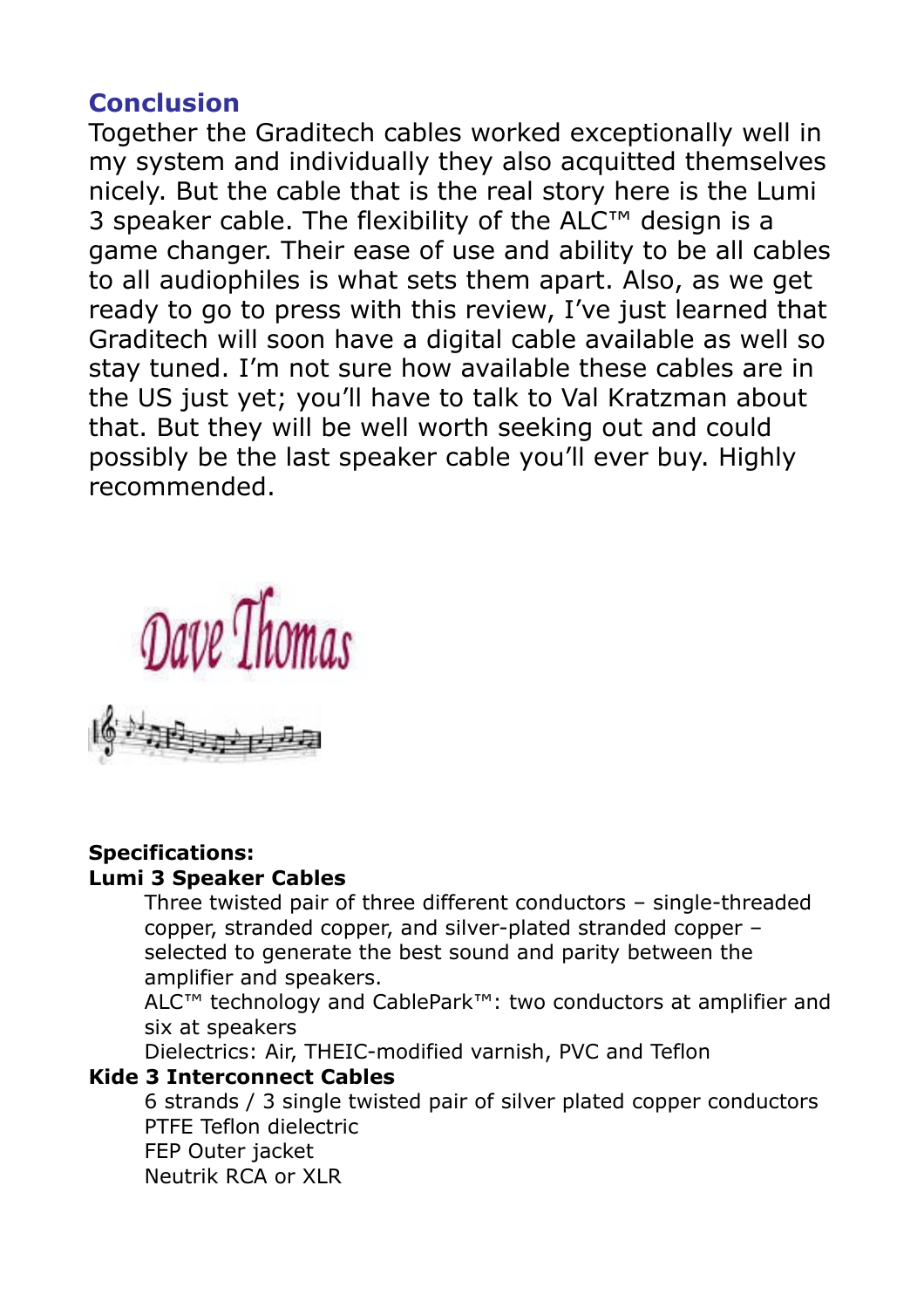## **Conclusion**

Together the Graditech cables worked exceptionally well in my system and individually they also acquitted themselves nicely. But the cable that is the real story here is the Lumi 3 speaker cable. The flexibility of the ALC™ design is a game changer. Their ease of use and ability to be all cables to all audiophiles is what sets them apart. Also, as we get ready to go to press with this review, I've just learned that Graditech will soon have a digital cable available as well so stay tuned. I'm not sure how available these cables are in the US just yet; you'll have to talk to Val Kratzman about that. But they will be well worth seeking out and could possibly be the last speaker cable you'll ever buy. Highly recommended.



#### **Specifications: Lumi 3 Speaker Cables**

 Three twisted pair of three different conductors – single-threaded copper, stranded copper, and silver-plated stranded copper – selected to generate the best sound and parity between the amplifier and speakers.

 ALC™ technology and CablePark™: two conductors at amplifier and six at speakers

Dielectrics: Air, THEIC-modified varnish, PVC and Teflon

#### **Kide 3 Interconnect Cables**

 6 strands / 3 single twisted pair of silver plated copper conductors PTFE Teflon dielectric FEP Outer jacket Neutrik RCA or XLR